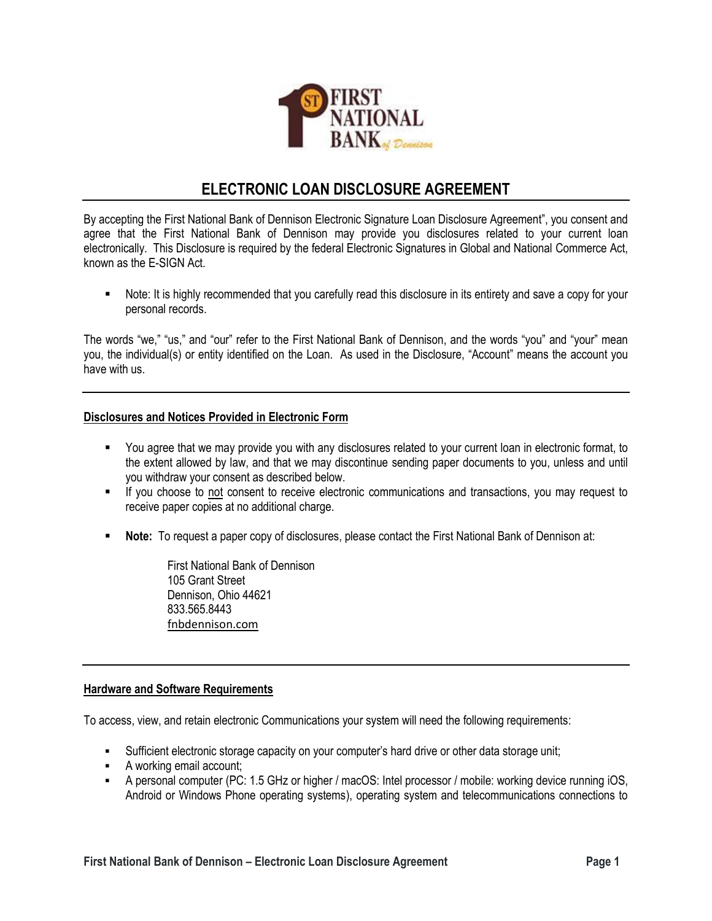

# **ELECTRONIC LOAN DISCLOSURE AGREEMENT**

By accepting the First National Bank of Dennison Electronic Signature Loan Disclosure Agreement", you consent and agree that the First National Bank of Dennison may provide you disclosures related to your current loan electronically. This Disclosure is required by the federal Electronic Signatures in Global and National Commerce Act, known as the E-SIGN Act.

▪ Note: It is highly recommended that you carefully read this disclosure in its entirety and save a copy for your personal records.

The words "we," "us," and "our" refer to the First National Bank of Dennison, and the words "you" and "your" mean you, the individual(s) or entity identified on the Loan. As used in the Disclosure, "Account" means the account you have with us.

## **Disclosures and Notices Provided in Electronic Form**

- You agree that we may provide you with any disclosures related to your current loan in electronic format, to the extent allowed by law, and that we may discontinue sending paper documents to you, unless and until you withdraw your consent as described below.
- If you choose to not consent to receive electronic communications and transactions, you may request to receive paper copies at no additional charge.
- **Note:** To request a paper copy of disclosures, please contact the First National Bank of Dennison at:

First National Bank of Dennison 105 Grant Street Dennison, Ohio 44621 833.565.8443 [fnbdennison.com](https://www.fnbdennison.com/)

### **Hardware and Software Requirements**

To access, view, and retain electronic Communications your system will need the following requirements:

- Sufficient electronic storage capacity on your computer's hard drive or other data storage unit;
- A working email account;
- A personal computer (PC: 1.5 GHz or higher / macOS: Intel processor / mobile: working device running iOS, Android or Windows Phone operating systems), operating system and telecommunications connections to